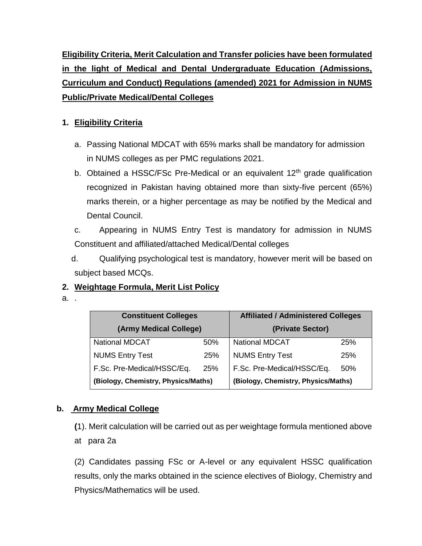**Eligibility Criteria, Merit Calculation and Transfer policies have been formulated in the light of Medical and Dental Undergraduate Education (Admissions, Curriculum and Conduct) Regulations (amended) 2021 for Admission in NUMS Public/Private Medical/Dental Colleges**

## **1. Eligibility Criteria**

- a. Passing National MDCAT with 65% marks shall be mandatory for admission in NUMS colleges as per PMC regulations 2021.
- b. Obtained a HSSC/FSc Pre-Medical or an equivalent  $12<sup>th</sup>$  grade qualification recognized in Pakistan having obtained more than sixty-five percent (65%) marks therein, or a higher percentage as may be notified by the Medical and Dental Council.
- c. Appearing in NUMS Entry Test is mandatory for admission in NUMS Constituent and affiliated/attached Medical/Dental colleges
- d. Qualifying psychological test is mandatory, however merit will be based on subject based MCQs.

## **2. Weightage Formula, Merit List Policy**

a. .

| <b>Constituent Colleges</b>         |     | <b>Affiliated / Administered Colleges</b> |     |  |
|-------------------------------------|-----|-------------------------------------------|-----|--|
| (Army Medical College)              |     | (Private Sector)                          |     |  |
| <b>National MDCAT</b>               | 50% | <b>National MDCAT</b>                     | 25% |  |
| <b>NUMS Entry Test</b>              | 25% | <b>NUMS Entry Test</b>                    | 25% |  |
| F.Sc. Pre-Medical/HSSC/Eq.          | 25% | F.Sc. Pre-Medical/HSSC/Eq.                | 50% |  |
| (Biology, Chemistry, Physics/Maths) |     | (Biology, Chemistry, Physics/Maths)       |     |  |

## **b. Army Medical College**

**(**1). Merit calculation will be carried out as per weightage formula mentioned above at para 2a

(2) Candidates passing FSc or A-level or any equivalent HSSC qualification results, only the marks obtained in the science electives of Biology, Chemistry and Physics/Mathematics will be used.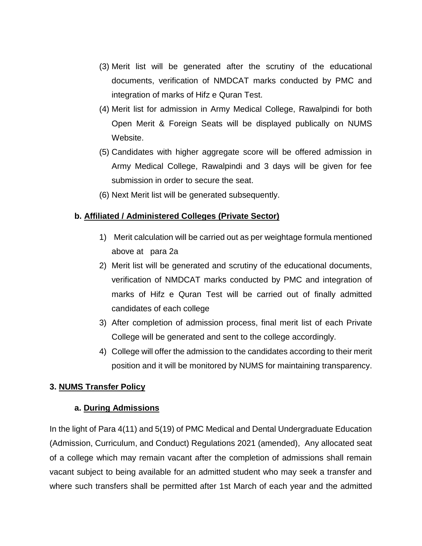- (3) Merit list will be generated after the scrutiny of the educational documents, verification of NMDCAT marks conducted by PMC and integration of marks of Hifz e Quran Test.
- (4) Merit list for admission in Army Medical College, Rawalpindi for both Open Merit & Foreign Seats will be displayed publically on NUMS Website.
- (5) Candidates with higher aggregate score will be offered admission in Army Medical College, Rawalpindi and 3 days will be given for fee submission in order to secure the seat.
- (6) Next Merit list will be generated subsequently.

### **b. Affiliated / Administered Colleges (Private Sector)**

- 1) Merit calculation will be carried out as per weightage formula mentioned above at para 2a
- 2) Merit list will be generated and scrutiny of the educational documents, verification of NMDCAT marks conducted by PMC and integration of marks of Hifz e Quran Test will be carried out of finally admitted candidates of each college
- 3) After completion of admission process, final merit list of each Private College will be generated and sent to the college accordingly.
- 4) College will offer the admission to the candidates according to their merit position and it will be monitored by NUMS for maintaining transparency.

### **3. NUMS Transfer Policy**

### **a. During Admissions**

In the light of Para 4(11) and 5(19) of PMC Medical and Dental Undergraduate Education (Admission, Curriculum, and Conduct) Regulations 2021 (amended), Any allocated seat of a college which may remain vacant after the completion of admissions shall remain vacant subject to being available for an admitted student who may seek a transfer and where such transfers shall be permitted after 1st March of each year and the admitted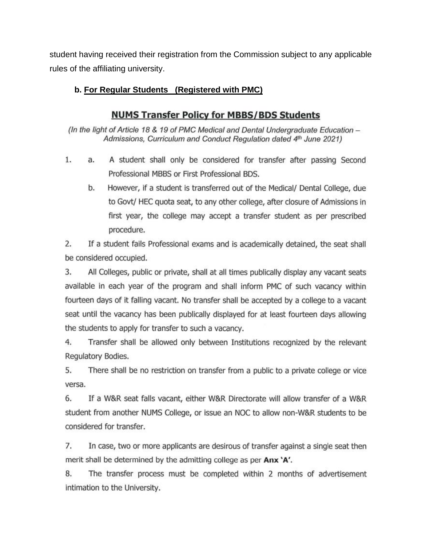student having received their registration from the Commission subject to any applicable rules of the affiliating university.

### b. For Regular Students (Registered with PMC)

# **NUMS Transfer Policy for MBBS/BDS Students**

(In the light of Article 18 & 19 of PMC Medical and Dental Undergraduate Education -Admissions, Curriculum and Conduct Regulation dated 4th June 2021)

- 1. A student shall only be considered for transfer after passing Second a. Professional MBBS or First Professional BDS.
	- b. However, if a student is transferred out of the Medical/ Dental College, due to Govt/ HEC quota seat, to any other college, after closure of Admissions in first year, the college may accept a transfer student as per prescribed procedure.

 $2.$ If a student fails Professional exams and is academically detained, the seat shall be considered occupied.

3. All Colleges, public or private, shall at all times publically display any vacant seats available in each year of the program and shall inform PMC of such vacancy within fourteen days of it falling vacant. No transfer shall be accepted by a college to a vacant seat until the vacancy has been publically displayed for at least fourteen days allowing the students to apply for transfer to such a vacancy.

4. Transfer shall be allowed only between Institutions recognized by the relevant Regulatory Bodies.

5. There shall be no restriction on transfer from a public to a private college or vice versa.

6. If a W&R seat falls vacant, either W&R Directorate will allow transfer of a W&R student from another NUMS College, or issue an NOC to allow non-W&R students to be considered for transfer.

7. In case, two or more applicants are desirous of transfer against a single seat then merit shall be determined by the admitting college as per Anx 'A'.

8. The transfer process must be completed within 2 months of advertisement intimation to the University.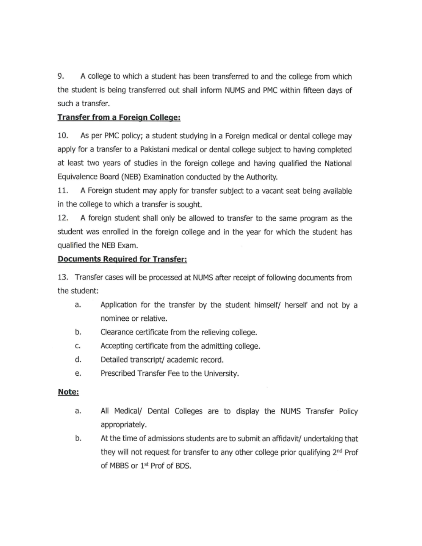9. A college to which a student has been transferred to and the college from which the student is being transferred out shall inform NUMS and PMC within fifteen days of such a transfer.

### **Transfer from a Foreign College:**

10. As per PMC policy; a student studying in a Foreign medical or dental college may apply for a transfer to a Pakistani medical or dental college subject to having completed at least two years of studies in the foreign college and having qualified the National Equivalence Board (NEB) Examination conducted by the Authority.

11. A Foreign student may apply for transfer subject to a vacant seat being available in the college to which a transfer is sought.

12. A foreign student shall only be allowed to transfer to the same program as the student was enrolled in the foreign college and in the year for which the student has qualified the NEB Exam.

### **Documents Required for Transfer:**

13. Transfer cases will be processed at NUMS after receipt of following documents from the student:

- Application for the transfer by the student himself/ herself and not by a a. nominee or relative.
- b. Clearance certificate from the relieving college.
- Accepting certificate from the admitting college. c.
- d. Detailed transcript/ academic record.
- Prescribed Transfer Fee to the University. e.

#### Note:

- All Medical/ Dental Colleges are to display the NUMS Transfer Policy a. appropriately.
- At the time of admissions students are to submit an affidavit/ undertaking that b. they will not request for transfer to any other college prior qualifying 2<sup>nd</sup> Prof of MBBS or 1st Prof of BDS.